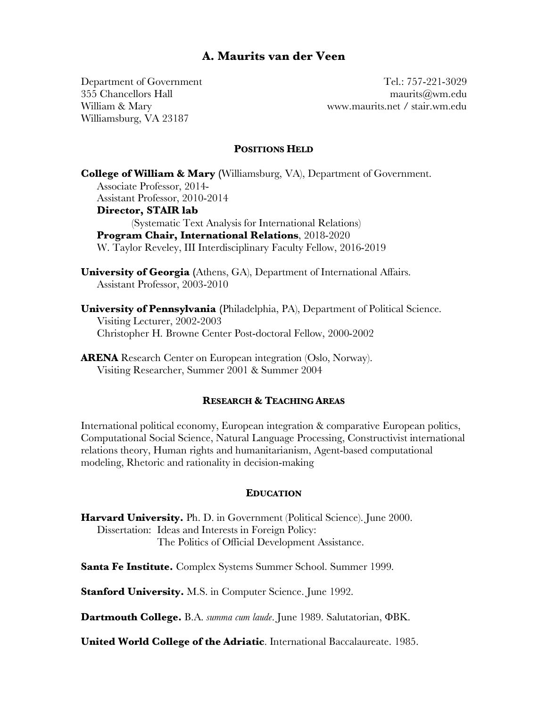# **A. Maurits van der Veen**

Williamsburg, VA 23187

Department of Government Tel.: 757-221-3029 355 Chancellors Hall maurits@wm.edu William & Mary www.maurits.net / stair.wm.edu

## **POSITIONS HELD**

**College of William & Mary (**Williamsburg, VA), Department of Government. Associate Professor, 2014- Assistant Professor, 2010-2014 **Director, STAIR lab**  (Systematic Text Analysis for International Relations) **Program Chair, International Relations**, 2018-2020 W. Taylor Reveley, III Interdisciplinary Faculty Fellow, 2016-2019

**University of Georgia (**Athens, GA), Department of International Affairs. Assistant Professor, 2003-2010

**University of Pennsylvania (**Philadelphia, PA), Department of Political Science. Visiting Lecturer, 2002-2003 Christopher H. Browne Center Post-doctoral Fellow, 2000-2002

**ARENA** Research Center on European integration (Oslo, Norway). Visiting Researcher, Summer 2001 & Summer 2004

#### **RESEARCH & TEACHING AREAS**

International political economy, European integration & comparative European politics, Computational Social Science, Natural Language Processing, Constructivist international relations theory, Human rights and humanitarianism, Agent-based computational modeling, Rhetoric and rationality in decision-making

#### **EDUCATION**

**Harvard University.** Ph. D. in Government (Political Science). June 2000. Dissertation: Ideas and Interests in Foreign Policy: The Politics of Official Development Assistance.

**Santa Fe Institute.** Complex Systems Summer School. Summer 1999.

**Stanford University.** M.S. in Computer Science. June 1992.

**Dartmouth College.** B.A. *summa cum laude*. June 1989. Salutatorian, **OBK.** 

**United World College of the Adriatic**. International Baccalaureate. 1985.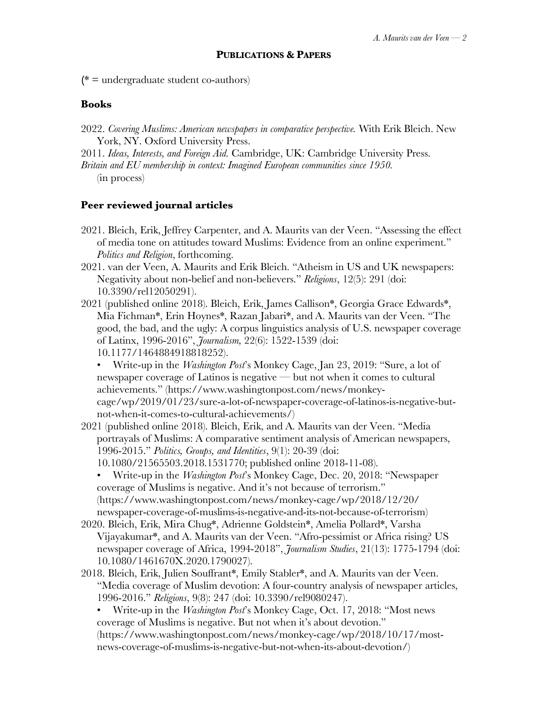**(**\* = undergraduate student co-authors)

# **Books**

2022. *Covering Muslims: American newspapers in comparative perspective.* With Erik Bleich. New York, NY. Oxford University Press.

2011. *Ideas, Interests, and Foreign Aid.* Cambridge, UK: Cambridge University Press. *Britain and EU membership in context: Imagined European communities since 1950.* (in process)

# **Peer reviewed journal articles**

- 2021. Bleich, Erik, Jeffrey Carpenter, and A. Maurits van der Veen. "Assessing the effect of media tone on attitudes toward Muslims: Evidence from an online experiment." *Politics and Religion*, forthcoming.
- 2021. van der Veen, A. Maurits and Erik Bleich. "Atheism in US and UK newspapers: Negativity about non-belief and non-believers." *Religions*, 12(5): 291 (doi: 10.3390/rel12050291).
- 2021 (published online 2018). Bleich, Erik, James Callison\*, Georgia Grace Edwards\*, Mia Fichman\*, Erin Hoynes\*, Razan Jabari\*, and A. Maurits van der Veen. "The good, the bad, and the ugly: A corpus linguistics analysis of U.S. newspaper coverage of Latinx, 1996-2016", *Journalism,* 22(6): 1522-1539 (doi: 10.1177/1464884918818252).

• Write-up in the *Washington Post*'s Monkey Cage, Jan 23, 2019: "Sure, a lot of newspaper coverage of Latinos is negative — but not when it comes to cultural achievements." (https://www.washingtonpost.com/news/monkeycage/wp/2019/01/23/sure-a-lot-of-newspaper-coverage-of-latinos-is-negative-butnot-when-it-comes-to-cultural-achievements/)

- 2021 (published online 2018). Bleich, Erik, and A. Maurits van der Veen. "Media portrayals of Muslims: A comparative sentiment analysis of American newspapers, 1996-2015." *Politics, Groups, and Identities*, 9(1): 20-39 (doi: 10.1080/21565503.2018.1531770; published online 2018-11-08).
	- Write-up in the *Washington Post*'s Monkey Cage, Dec. 20, 2018: "Newspaper coverage of Muslims is negative. And it's not because of terrorism." (https://www.washingtonpost.com/news/monkey-cage/wp/2018/12/20/ newspaper-coverage-of-muslims-is-negative-and-its-not-because-of-terrorism)
- 2020. Bleich, Erik, Mira Chug\*, Adrienne Goldstein\*, Amelia Pollard\*, Varsha Vijayakumar\*, and A. Maurits van der Veen. "Afro-pessimist or Africa rising? US newspaper coverage of Africa, 1994-2018", *Journalism Studies*, 21(13): 1775-1794 (doi: 10.1080/1461670X.2020.1790027).
- 2018. Bleich, Erik, Julien Souffrant\*, Emily Stabler\*, and A. Maurits van der Veen. "Media coverage of Muslim devotion: A four-country analysis of newspaper articles, 1996-2016." *Religions*, 9(8): 247 (doi: 10.3390/rel9080247).
	- Write-up in the *Washington Post*'s Monkey Cage, Oct. 17, 2018: "Most news coverage of Muslims is negative. But not when it's about devotion." (https://www.washingtonpost.com/news/monkey-cage/wp/2018/10/17/mostnews-coverage-of-muslims-is-negative-but-not-when-its-about-devotion/)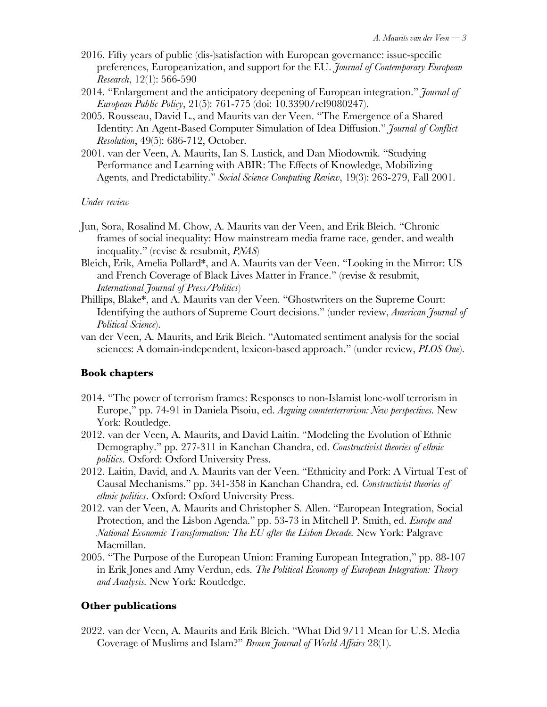- 2016. Fifty years of public (dis-)satisfaction with European governance: issue-specific preferences, Europeanization, and support for the EU. *Journal of Contemporary European Research*, 12(1): 566-590
- 2014. "Enlargement and the anticipatory deepening of European integration." *Journal of European Public Policy*, 21(5): 761-775 (doi: 10.3390/rel9080247).
- 2005. Rousseau, David L., and Maurits van der Veen. "The Emergence of a Shared Identity: An Agent-Based Computer Simulation of Idea Diffusion." *Journal of Conflict Resolution*, 49(5): 686-712, October.
- 2001. van der Veen, A. Maurits, Ian S. Lustick, and Dan Miodownik. "Studying Performance and Learning with ABIR: The Effects of Knowledge, Mobilizing Agents, and Predictability." *Social Science Computing Review*, 19(3): 263-279, Fall 2001.

*Under review*

- Jun, Sora, Rosalind M. Chow, A. Maurits van der Veen, and Erik Bleich. "Chronic frames of social inequality: How mainstream media frame race, gender, and wealth inequality." (revise & resubmit, *PNAS*)
- Bleich, Erik, Amelia Pollard\*, and A. Maurits van der Veen. "Looking in the Mirror: US and French Coverage of Black Lives Matter in France." (revise & resubmit, *International Journal of Press/Politics*)
- Phillips, Blake\*, and A. Maurits van der Veen. "Ghostwriters on the Supreme Court: Identifying the authors of Supreme Court decisions." (under review, *American Journal of Political Science*).
- van der Veen, A. Maurits, and Erik Bleich. "Automated sentiment analysis for the social sciences: A domain-independent, lexicon-based approach." (under review, *PLOS One*).

# **Book chapters**

- 2014. "The power of terrorism frames: Responses to non-Islamist lone-wolf terrorism in Europe," pp. 74-91 in Daniela Pisoiu, ed. *Arguing counterterrorism: New perspectives.* New York: Routledge.
- 2012. van der Veen, A. Maurits, and David Laitin. "Modeling the Evolution of Ethnic Demography." pp. 277-311 in Kanchan Chandra, ed. *Constructivist theories of ethnic politics*. Oxford: Oxford University Press.
- 2012. Laitin, David, and A. Maurits van der Veen. "Ethnicity and Pork: A Virtual Test of Causal Mechanisms." pp. 341-358 in Kanchan Chandra, ed. *Constructivist theories of ethnic politics*. Oxford: Oxford University Press.
- 2012. van der Veen, A. Maurits and Christopher S. Allen. "European Integration, Social Protection, and the Lisbon Agenda." pp. 53-73 in Mitchell P. Smith, ed. *Europe and National Economic Transformation: The EU after the Lisbon Decade.* New York: Palgrave Macmillan.
- 2005. "The Purpose of the European Union: Framing European Integration," pp. 88-107 in Erik Jones and Amy Verdun, eds. *The Political Economy of European Integration: Theory and Analysis.* New York: Routledge.

## **Other publications**

2022. van der Veen, A. Maurits and Erik Bleich. "What Did 9/11 Mean for U.S. Media Coverage of Muslims and Islam?" *Brown Journal of World Affairs* 28(1).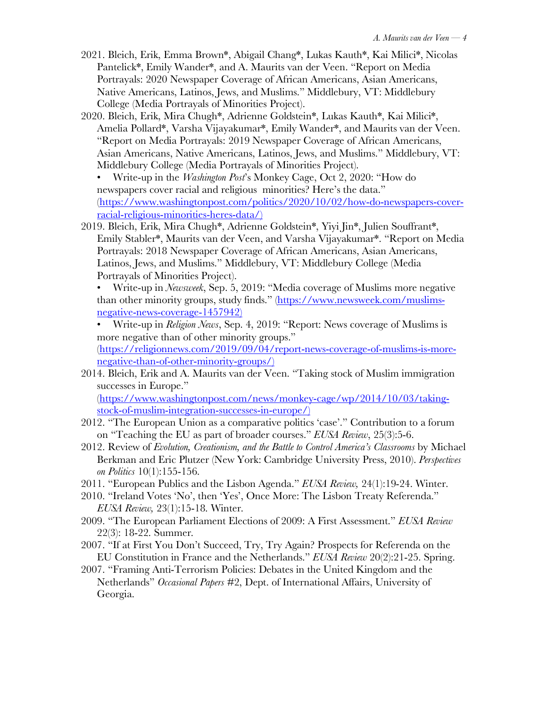- 2021. Bleich, Erik, Emma Brown\*, Abigail Chang\*, Lukas Kauth\*, Kai Milici\*, Nicolas Pantelick\*, Emily Wander\*, and A. Maurits van der Veen. "Report on Media Portrayals: 2020 Newspaper Coverage of African Americans, Asian Americans, Native Americans, Latinos, Jews, and Muslims." Middlebury, VT: Middlebury College (Media Portrayals of Minorities Project).
- 2020. Bleich, Erik, Mira Chugh\*, Adrienne Goldstein\*, Lukas Kauth\*, Kai Milici\*, Amelia Pollard\*, Varsha Vijayakumar\*, Emily Wander\*, and Maurits van der Veen. "Report on Media Portrayals: 2019 Newspaper Coverage of African Americans, Asian Americans, Native Americans, Latinos, Jews, and Muslims." Middlebury, VT: Middlebury College (Media Portrayals of Minorities Project).
	- Write-up in the *Washington Post*'s Monkey Cage, Oct 2, 2020: "How do newspapers cover racial and religious minorities? Here's the data." (https://www.washingtonpost.com/politics/2020/10/02/how-do-newspapers-coverracial-religious-minorities-heres-data/)
- 2019. Bleich, Erik, Mira Chugh\*, Adrienne Goldstein\*, Yiyi Jin\*, Julien Souffrant\*, Emily Stabler\*, Maurits van der Veen, and Varsha Vijayakumar\*. "Report on Media Portrayals: 2018 Newspaper Coverage of African Americans, Asian Americans, Latinos, Jews, and Muslims." Middlebury, VT: Middlebury College (Media Portrayals of Minorities Project).

• Write-up in *Newsweek*, Sep. 5, 2019: "Media coverage of Muslims more negative than other minority groups, study finds." (https://www.newsweek.com/muslimsnegative-news-coverage-1457942)

- Write-up in *Religion News*, Sep. 4, 2019: "Report: News coverage of Muslims is more negative than of other minority groups." (https://religionnews.com/2019/09/04/report-news-coverage-of-muslims-is-morenegative-than-of-other-minority-groups/)
- 2014. Bleich, Erik and A. Maurits van der Veen. "Taking stock of Muslim immigration successes in Europe."

(https://www.washingtonpost.com/news/monkey-cage/wp/2014/10/03/takingstock-of-muslim-integration-successes-in-europe/)

- 2012. "The European Union as a comparative politics 'case'." Contribution to a forum on "Teaching the EU as part of broader courses." *EUSA Review*, 25(3):5-6.
- 2012. Review of *Evolution, Creationism, and the Battle to Control America's Classrooms* by Michael Berkman and Eric Plutzer (New York: Cambridge University Press, 2010). *Perspectives on Politics* 10(1):155-156.
- 2011. "European Publics and the Lisbon Agenda." *EUSA Review,* 24(1):19-24. Winter.
- 2010. "Ireland Votes 'No', then 'Yes', Once More: The Lisbon Treaty Referenda." *EUSA Review,* 23(1):15-18. Winter.
- 2009. "The European Parliament Elections of 2009: A First Assessment." *EUSA Review* 22(3): 18-22. Summer.
- 2007. "If at First You Don't Succeed, Try, Try Again? Prospects for Referenda on the EU Constitution in France and the Netherlands." *EUSA Review* 20(2):21-25. Spring.
- 2007. "Framing Anti-Terrorism Policies: Debates in the United Kingdom and the Netherlands" *Occasional Papers* #2, Dept. of International Affairs, University of Georgia.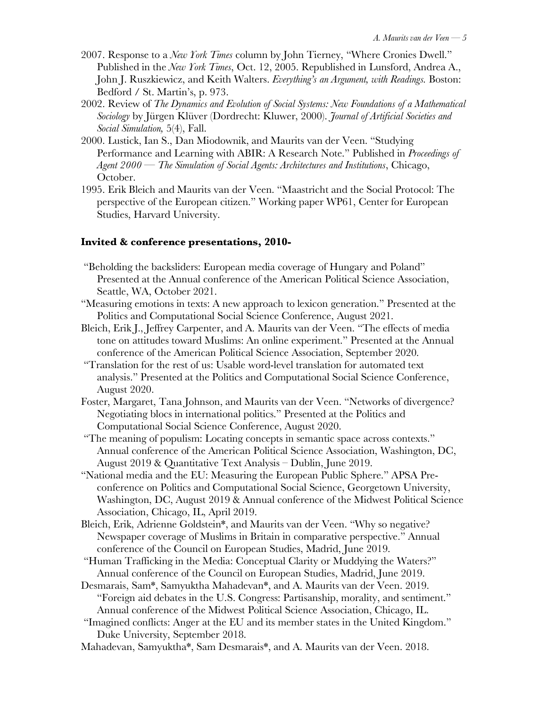- 2007. Response to a *New York Times* column by John Tierney, "Where Cronies Dwell." Published in the *New York Times*, Oct. 12, 2005. Republished in Lunsford, Andrea A., John J. Ruszkiewicz, and Keith Walters. *Everything's an Argument, with Readings.* Boston: Bedford / St. Martin's, p. 973.
- 2002. Review of *The Dynamics and Evolution of Social Systems: New Foundations of a Mathematical Sociology* by Jürgen Klüver (Dordrecht: Kluwer, 2000). *Journal of Artificial Societies and Social Simulation,* 5(4), Fall.
- 2000. Lustick, Ian S., Dan Miodownik, and Maurits van der Veen. "Studying Performance and Learning with ABIR: A Research Note." Published in *Proceedings of Agent 2000 — The Simulation of Social Agents: Architectures and Institutions*, Chicago, October.
- 1995. Erik Bleich and Maurits van der Veen. "Maastricht and the Social Protocol: The perspective of the European citizen." Working paper WP61, Center for European Studies, Harvard University.

#### **Invited & conference presentations, 2010-**

- "Beholding the backsliders: European media coverage of Hungary and Poland" Presented at the Annual conference of the American Political Science Association, Seattle, WA, October 2021.
- "Measuring emotions in texts: A new approach to lexicon generation." Presented at the Politics and Computational Social Science Conference, August 2021.
- Bleich, Erik J., Jeffrey Carpenter, and A. Maurits van der Veen. "The effects of media tone on attitudes toward Muslims: An online experiment." Presented at the Annual conference of the American Political Science Association, September 2020.
- "Translation for the rest of us: Usable word-level translation for automated text analysis." Presented at the Politics and Computational Social Science Conference, August 2020.
- Foster, Margaret, Tana Johnson, and Maurits van der Veen. "Networks of divergence? Negotiating blocs in international politics." Presented at the Politics and Computational Social Science Conference, August 2020.
- "The meaning of populism: Locating concepts in semantic space across contexts." Annual conference of the American Political Science Association, Washington, DC, August 2019 & Quantitative Text Analysis – Dublin, June 2019.
- "National media and the EU: Measuring the European Public Sphere." APSA Preconference on Politics and Computational Social Science, Georgetown University, Washington, DC, August 2019 & Annual conference of the Midwest Political Science Association, Chicago, IL, April 2019.
- Bleich, Erik, Adrienne Goldstein\*, and Maurits van der Veen. "Why so negative? Newspaper coverage of Muslims in Britain in comparative perspective." Annual conference of the Council on European Studies, Madrid, June 2019.
- "Human Trafficking in the Media: Conceptual Clarity or Muddying the Waters?" Annual conference of the Council on European Studies, Madrid, June 2019.
- Desmarais, Sam\*, Samyuktha Mahadevan\*, and A. Maurits van der Veen. 2019. "Foreign aid debates in the U.S. Congress: Partisanship, morality, and sentiment." Annual conference of the Midwest Political Science Association, Chicago, IL.
- "Imagined conflicts: Anger at the EU and its member states in the United Kingdom." Duke University, September 2018.
- Mahadevan, Samyuktha\*, Sam Desmarais\*, and A. Maurits van der Veen. 2018.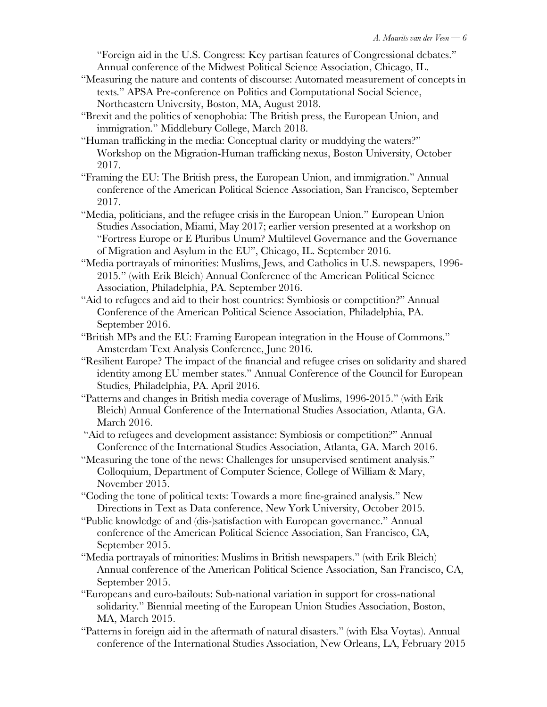"Foreign aid in the U.S. Congress: Key partisan features of Congressional debates." Annual conference of the Midwest Political Science Association, Chicago, IL.

- "Measuring the nature and contents of discourse: Automated measurement of concepts in texts." APSA Pre-conference on Politics and Computational Social Science, Northeastern University, Boston, MA, August 2018.
- "Brexit and the politics of xenophobia: The British press, the European Union, and immigration." Middlebury College, March 2018.
- "Human trafficking in the media: Conceptual clarity or muddying the waters?" Workshop on the Migration-Human trafficking nexus, Boston University, October 2017.
- "Framing the EU: The British press, the European Union, and immigration." Annual conference of the American Political Science Association, San Francisco, September 2017.
- "Media, politicians, and the refugee crisis in the European Union." European Union Studies Association, Miami, May 2017; earlier version presented at a workshop on "Fortress Europe or E Pluribus Unum? Multilevel Governance and the Governance of Migration and Asylum in the EU", Chicago, IL. September 2016.
- "Media portrayals of minorities: Muslims, Jews, and Catholics in U.S. newspapers, 1996- 2015." (with Erik Bleich) Annual Conference of the American Political Science Association, Philadelphia, PA. September 2016.
- "Aid to refugees and aid to their host countries: Symbiosis or competition?" Annual Conference of the American Political Science Association, Philadelphia, PA. September 2016.
- "British MPs and the EU: Framing European integration in the House of Commons." Amsterdam Text Analysis Conference, June 2016.
- "Resilient Europe? The impact of the financial and refugee crises on solidarity and shared identity among EU member states." Annual Conference of the Council for European Studies, Philadelphia, PA. April 2016.
- "Patterns and changes in British media coverage of Muslims, 1996-2015." (with Erik Bleich) Annual Conference of the International Studies Association, Atlanta, GA. March 2016.
- "Aid to refugees and development assistance: Symbiosis or competition?" Annual Conference of the International Studies Association, Atlanta, GA. March 2016.
- "Measuring the tone of the news: Challenges for unsupervised sentiment analysis." Colloquium, Department of Computer Science, College of William & Mary, November 2015.
- "Coding the tone of political texts: Towards a more fine-grained analysis." New Directions in Text as Data conference, New York University, October 2015.
- "Public knowledge of and (dis-)satisfaction with European governance." Annual conference of the American Political Science Association, San Francisco, CA, September 2015.
- "Media portrayals of minorities: Muslims in British newspapers." (with Erik Bleich) Annual conference of the American Political Science Association, San Francisco, CA, September 2015.
- "Europeans and euro-bailouts: Sub-national variation in support for cross-national solidarity." Biennial meeting of the European Union Studies Association, Boston, MA, March 2015.
- "Patterns in foreign aid in the aftermath of natural disasters." (with Elsa Voytas). Annual conference of the International Studies Association, New Orleans, LA, February 2015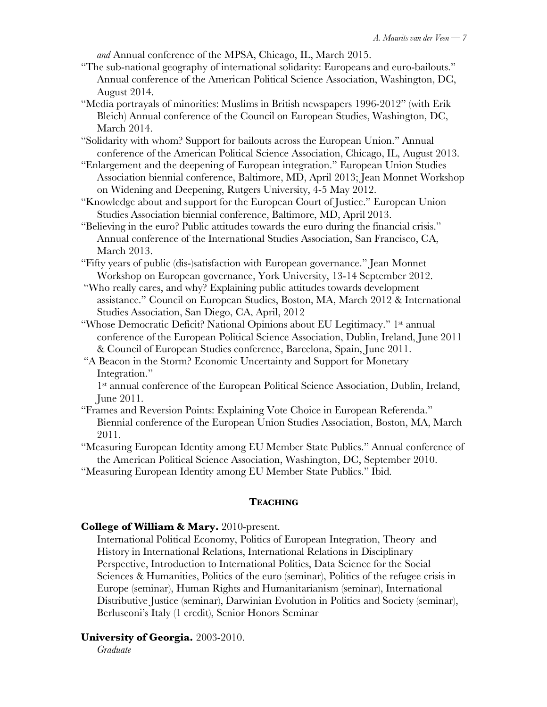*and* Annual conference of the MPSA, Chicago, IL, March 2015.

- "The sub-national geography of international solidarity: Europeans and euro-bailouts." Annual conference of the American Political Science Association, Washington, DC, August 2014.
- "Media portrayals of minorities: Muslims in British newspapers 1996-2012" (with Erik Bleich) Annual conference of the Council on European Studies, Washington, DC, March 2014.
- "Solidarity with whom? Support for bailouts across the European Union." Annual conference of the American Political Science Association, Chicago, IL, August 2013.
- "Enlargement and the deepening of European integration." European Union Studies Association biennial conference, Baltimore, MD, April 2013; Jean Monnet Workshop on Widening and Deepening, Rutgers University, 4-5 May 2012.
- "Knowledge about and support for the European Court of Justice." European Union Studies Association biennial conference, Baltimore, MD, April 2013.
- "Believing in the euro? Public attitudes towards the euro during the financial crisis." Annual conference of the International Studies Association, San Francisco, CA, March 2013.
- "Fifty years of public (dis-)satisfaction with European governance." Jean Monnet Workshop on European governance, York University, 13-14 September 2012.
- "Who really cares, and why? Explaining public attitudes towards development assistance." Council on European Studies, Boston, MA, March 2012 & International Studies Association, San Diego, CA, April, 2012
- "Whose Democratic Deficit? National Opinions about EU Legitimacy." 1st annual conference of the European Political Science Association, Dublin, Ireland, June 2011 & Council of European Studies conference, Barcelona, Spain, June 2011.
- "A Beacon in the Storm? Economic Uncertainty and Support for Monetary Integration."

1st annual conference of the European Political Science Association, Dublin, Ireland, June 2011.

"Frames and Reversion Points: Explaining Vote Choice in European Referenda." Biennial conference of the European Union Studies Association, Boston, MA, March 2011.

"Measuring European Identity among EU Member State Publics." Annual conference of the American Political Science Association, Washington, DC, September 2010.

"Measuring European Identity among EU Member State Publics." Ibid.

## **TEACHING**

# **College of William & Mary.** 2010-present.

International Political Economy, Politics of European Integration, Theory and History in International Relations, International Relations in Disciplinary Perspective, Introduction to International Politics, Data Science for the Social Sciences & Humanities, Politics of the euro (seminar), Politics of the refugee crisis in Europe (seminar), Human Rights and Humanitarianism (seminar), International Distributive Justice (seminar), Darwinian Evolution in Politics and Society (seminar), Berlusconi's Italy (1 credit), Senior Honors Seminar

## **University of Georgia.** 2003-2010.

*Graduate*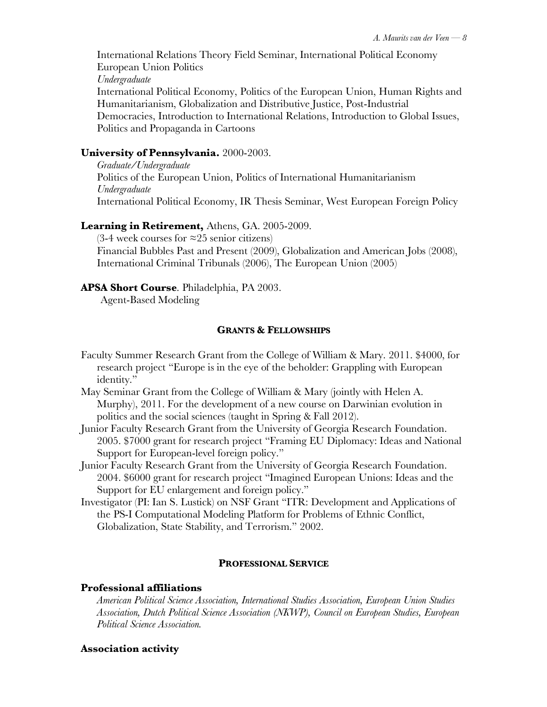International Relations Theory Field Seminar, International Political Economy European Union Politics *Undergraduate* International Political Economy, Politics of the European Union, Human Rights and Humanitarianism, Globalization and Distributive Justice, Post-Industrial Democracies, Introduction to International Relations, Introduction to Global Issues, Politics and Propaganda in Cartoons

# **University of Pennsylvania.** 2000-2003.

*Graduate/Undergraduate* Politics of the European Union, Politics of International Humanitarianism *Undergraduate* International Political Economy, IR Thesis Seminar, West European Foreign Policy

## **Learning in Retirement,** Athens, GA. 2005-2009.

 $(3-4$  week courses for ≈25 senior citizens) Financial Bubbles Past and Present (2009), Globalization and American Jobs (2008), International Criminal Tribunals (2006), The European Union (2005)

## **APSA Short Course**. Philadelphia, PA 2003.

Agent-Based Modeling

## **GRANTS & FELLOWSHIPS**

- Faculty Summer Research Grant from the College of William & Mary. 2011. \$4000, for research project "Europe is in the eye of the beholder: Grappling with European identity."
- May Seminar Grant from the College of William & Mary (jointly with Helen A. Murphy), 2011. For the development of a new course on Darwinian evolution in politics and the social sciences (taught in Spring & Fall 2012).
- Junior Faculty Research Grant from the University of Georgia Research Foundation. 2005. \$7000 grant for research project "Framing EU Diplomacy: Ideas and National Support for European-level foreign policy."
- Junior Faculty Research Grant from the University of Georgia Research Foundation. 2004. \$6000 grant for research project "Imagined European Unions: Ideas and the Support for EU enlargement and foreign policy."
- Investigator (PI: Ian S. Lustick) on NSF Grant "ITR: Development and Applications of the PS-I Computational Modeling Platform for Problems of Ethnic Conflict, Globalization, State Stability, and Terrorism." 2002.

## **PROFESSIONAL SERVICE**

## **Professional affiliations**

*American Political Science Association, International Studies Association, European Union Studies Association, Dutch Political Science Association (NKWP), Council on European Studies, European Political Science Association.*

## **Association activity**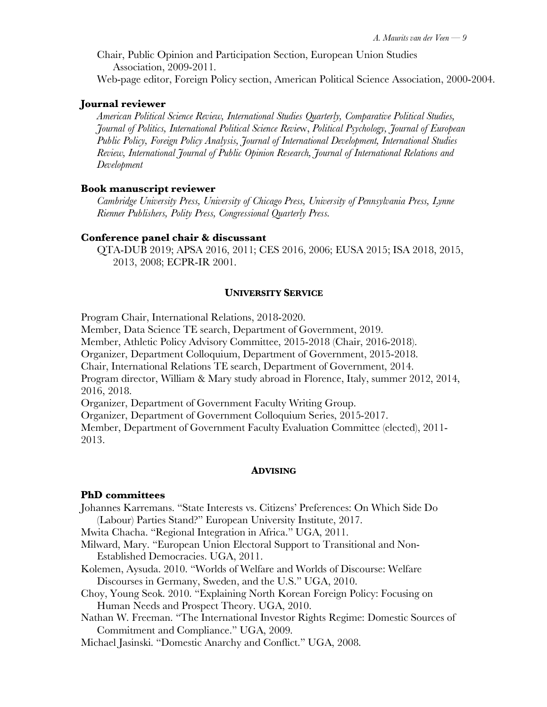Chair, Public Opinion and Participation Section, European Union Studies Association, 2009-2011.

Web-page editor, Foreign Policy section, American Political Science Association, 2000-2004.

#### **Journal reviewer**

*American Political Science Review, International Studies Quarterly, Comparative Political Studies, Journal of Politics, International Political Science Revie*w, *Political Psychology, Journal of European Public Policy, Foreign Policy Analysis, Journal of International Development, International Studies Review, International Journal of Public Opinion Research, Journal of International Relations and Development*

#### **Book manuscript reviewer**

*Cambridge University Press, University of Chicago Press, University of Pennsylvania Press, Lynne Rienner Publishers, Polity Press, Congressional Quarterly Press.*

#### **Conference panel chair & discussant**

QTA-DUB 2019; APSA 2016, 2011; CES 2016, 2006; EUSA 2015; ISA 2018, 2015, 2013, 2008; ECPR-IR 2001.

#### **UNIVERSITY SERVICE**

Program Chair, International Relations, 2018-2020.

Member, Data Science TE search, Department of Government, 2019.

Member, Athletic Policy Advisory Committee, 2015-2018 (Chair, 2016-2018).

Organizer, Department Colloquium, Department of Government, 2015-2018.

Chair, International Relations TE search, Department of Government, 2014.

Program director, William & Mary study abroad in Florence, Italy, summer 2012, 2014, 2016, 2018.

Organizer, Department of Government Faculty Writing Group.

Organizer, Department of Government Colloquium Series, 2015-2017.

Member, Department of Government Faculty Evaluation Committee (elected), 2011- 2013.

#### **ADVISING**

#### **PhD committees**

Johannes Karremans. "State Interests vs. Citizens' Preferences: On Which Side Do (Labour) Parties Stand?" European University Institute, 2017.

Mwita Chacha. "Regional Integration in Africa." UGA, 2011.

- Milward, Mary. "European Union Electoral Support to Transitional and Non-Established Democracies. UGA, 2011.
- Kolemen, Aysuda. 2010. "Worlds of Welfare and Worlds of Discourse: Welfare Discourses in Germany, Sweden, and the U.S." UGA, 2010.
- Choy, Young Seok. 2010. "Explaining North Korean Foreign Policy: Focusing on Human Needs and Prospect Theory. UGA, 2010.
- Nathan W. Freeman. "The International Investor Rights Regime: Domestic Sources of Commitment and Compliance." UGA, 2009.

Michael Jasinski. "Domestic Anarchy and Conflict." UGA, 2008.